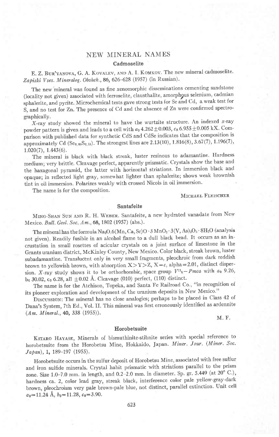# NEW MINERAL NAMES

# Cadmoselite

E. Z. BUR'YANOVA, G. A. KOVALEV, AND A. I. KOMKOV. The new mineral cadmoselite. Zapiski Vses. Mineralog. Obshch., 86, 626-628 (1957) (in Russian).

The new'mineral was found as fine xenomorphic disseminations cementing sandstone (iocality not given) associated with ferroselite, clausthalite, amorphgus selenium, cadmian sphalerite, and pyrite. Microchemical tests gave strong tests for Se and Cd, a weak test for S, and no test for Zn. The presence of Cd and the absence of Zn were confirmed spectrographically.

X-ray study showed the mineral to have the wurtzite structure. An indexed x-ray powder pattern is given and leads to a cell with  $a_0$  4.262  $\pm$  0.003,  $c_0$  6.955  $\pm$  0.005 kX. Comparison with published data for synthetic CdS and CdSe indicates that the composition is approximately Cd (Se<sub>0,85</sub>S<sub>0,15</sub>). The strongest lines are 2.13(10), 1.816(8), 3.67(7), 1.196(7),  $1.020(7), 1.443(6).$ 

The mineral is black with black streak, luster resinous to adamantine. Hardness medium; very brittle. Cleavage perfect, apparently prismatic. Crystals show the base and the haxagonal pyramid, the laiter with horizontal striations. In immersion black and opaque; in reflected light gray, somewhat lighter than sphalerite; shows weak brownish tint in oil immersion. Polarizes weakly with crossed Nicols in oil immersion.

The name is for the composition.

MICHAEL FLEISCHER

# Santafeite

MING-SHAN SUN AND R. H. WEBER. Santafeite, a new hydrated vanadate from New Mexico. Bull. Geol. Soc. Am., 68, 1802 (1957) (abs.).

The mineral has the formula Na<sub>2</sub>O.6(Mn, Ca, Sr)O $\cdot$ 3MnO<sub>2</sub> $\cdot$ 3(V, As)<sub>2</sub>O<sub>5</sub> $\cdot$ 8H<sub>2</sub>O (analysis not given). Readily fusible in an alcohol flame to a dull black bead. It occurs as an incrustation in small rosettes of acicular crystals on a joint surface of limestone in the Grants uranium district, McKinley county, New Mexico. color black, streak brown, luster subadamantine. Translucent only in very small fragments, pleochroic from dark reddish brown to yellowish brown, with absorption  $X>Y>Z$ ,  $X=c$ , alpha $=2.01$ , distinct dispersion. X-ray study shows it to be orthorhombic, space group  $V^{11}h$  - Pmca with  $a_0$  9.26,  $b_0$  30.02,  $c_0$  6.28, all  $\pm 0.02$  Å. Cleavage (010) perfect, (110) distinct.

The name is for the Atchison, Topeka, and Santa Fe Railroad Co., "in recognition of its pioneer exploration and development of the uranium deposits in New Mexico'"

DrscussroN: The mineral has no close analogies; perhaps to be placed in Class 42 of Dana's System, 7th Ed., Vol. II. This mineral was first erroneously identified as ardennite (Am. Mineral.,40, 338 (1955)).

# M. F.

### Horobetsuite

KITARO HAYASE, Minerals of bismuthinite-stibnite series with special reference to horobetsuite from the Horobetsu Mine, Hokkaido, Japan. Miner. Jour. (Miner. Soc.  $Japan$ , 1, 189-197 (1955).

Horobetsuite occurs in the sulfur deposit of Horobetsu Mine, associated with free sulfur and iron sulfide minerals. crystal habit prismatic with striations parallel to the prism zone. Size 1.0-7.0 mm. in length, and 0.2-2.0 mm. in diameter. Sp. gr. 5.449 (at 20° C.), hardness ca. 2, color lead gray, streak black, interference color pale yellow-gray-dark brown, pleochroism very pale brown-pale blue, not distinct, parallel extinction. unit cell  $a_0$ =11.24 Å,  $b_0$ =11.28,  $c_0$ =3.90.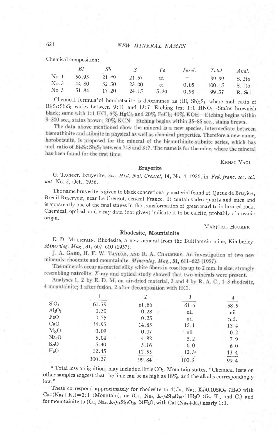Chemical composition:

|      | Bi    | Sb    |       | Fe   | Insol. | Total  | Anal.  |
|------|-------|-------|-------|------|--------|--------|--------|
| No.1 | 56.93 | 21.49 | 21.57 | tr.  | tr.    | 99.99  | S. Ito |
| No.3 | 44.80 | 32.30 | 23.00 | tr.  | 0.05   | 100.15 | S. Ito |
| No.3 | 51.84 | 17.20 | 24.15 | 5.20 | 0.98   | 99.37  | R. Sei |

Chemical formula of horobetsuite is determined as (Bi, Sb)<sub>2</sub>S<sub>3</sub>, where mol. ratio of Bi<sub>2</sub>S<sub>3</sub>: Sb<sub>2</sub>S<sub>3</sub> varies between 9:11 and 13:7. Etching test 1:1 HNO<sub>3</sub>-Stains brownish black; same with 1:1 HCl, 5% HgCl2 and 20% FeCl3; 40% KOH-Etching begins within 9-300 sec., stains brown; 20% KCN-Etching begins within 35-85 sec., stains brown.

The data above mentioned show the mineral is a new species, intermediate between bismuthinite and stibnite in physical as well as chemical properties. Therefore a new name, horobetsuite, is proposed for the mineral of the bismuthinite-stibnite series, which has mol. ratio of Bi<sub>2</sub>S<sub>3</sub>: Sb<sub>2</sub>S<sub>3</sub> between 7:3 and 3:7. The name is for the mine, where the mineral has been found for the first time.

KENZO YAGI

# **Bruyerite**

G. TACNET. Bruyerite. Soc. Hist. Nat. Creusot, 14, No. 4, 1956, in Fed. franc. soc. sci. nat. No. 5, Oct., 1956.

The name bruyerite is given to black concretionary material found at Queue de Bruyère, Breuil Reservoir, near Le Creusot, central France. It contains also quartz and mica and is apparently one of the final stages in the transformation of green marl to indurated rock. Chemical, optical, and x-ray data (not given) indicate it to be calcite, probably of organic origin.

MARJORIE HOOKER

### Rhodesite, Mountainite

E. D. MOUNTAIN. Rhodesite, a new mineral from the Bultfontein mine, Kimberley. Mineralog. Mag., 31, 607-610 (1957).

J. A. GARD, H. F. W. TAYLOR, AND R. A. CHALMERS. An investigation of two new minerals: rhodesite and mountainite. Mineralog. Mag., 31, 611-623 (1957).

The minerals occur as matted silky white fibers in rosettes up to 2 mm. in size, strongly resembling natrolite. X-ray and optical study showed that two minerals were present.

Analyses 1, 2 by E. D. M. on air-dried material, 3 and 4 by R. A. C., 1-3 rhodesite, 4 mountainite; 1 after fusion, 2 after decomposition with HCl.

| SiO <sub>2</sub>  | 61.79  | 61.86 | 61.6              | 58.5 |
|-------------------|--------|-------|-------------------|------|
| $Al_2O_3$         | 0.30   | 0.28  | nil               | nil  |
| FeO               | 0.25   | 0.25  | nil               | n.d. |
| CaO               | 14.95  | 14,85 | 15.1              | 13.4 |
| MgO               | 0.09   | 0.07  | nil               | 0.2  |
| Na <sub>2</sub> O | 5.04   | 4.82  | 5.2               | 7.9  |
| $K_2O$            | 5.40   | 5.16  | 6.0               | 6.0  |
| H <sub>2</sub> O  | 12.45  | 12.55 | 12.3 <sup>a</sup> | 13.4 |
|                   | 100.27 | 99.84 | 100.2             | 99 4 |

a Total loss on ignition; may include a little CO<sub>2</sub>. Mountain states, "Chemical tests on other samples suggest that the lime can be as high as 18%, and the alkalis correspondingly  $low."$ 

These correspond approximately for rhodesite to  $4(Ca, Na_2, K_2)0.10SiO_2 \cdot 7H_2O$  with  $Ca:(Na_2+K_2)=2:1$  (Mountain), or (Ca, Na<sub>2</sub>, K<sub>2</sub>)<sub>8</sub>Si<sub>10</sub>O<sub>40</sub>·11H<sub>2</sub>O (G., T., and C.) and for mountainite to  $(Ca, Na<sub>2</sub>, K<sub>2</sub>)_{16}Si<sub>32</sub>O<sub>80</sub>·24H<sub>2</sub>O$ , with  $Ca:(Na<sub>2</sub>+K<sub>2</sub>)$  nearly 1:1.

624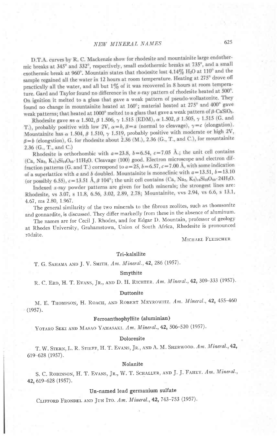D.T.A. curves by R. C. Mackenzie show for rhodesite and mountainite large endothermic breaks at 345° and 332°, respectively, small endothermic breaks at 735°, and a small exothermic break at 960°. Mountain states that rhodesite lost 4.14% H<sub>2</sub>O at 110° and the sample regained all the water in 12 hours at room temperature. Heating at 275° drove off practically all the water, and all but  $1\%$  of it was recovered in 8 hours at room temperature. Gard and Taylor found no difference in the x-ray pattern of rhodesite heated at 500°. On ignition it melted to a glass that gave a weak pattern of pseudo-wollastonite. They found no change in mountainite heated at 160°; material heated at 275° and 400° gave weak patterns; that heated at 1000° melted to a glass that gave a weak pattern of  $\beta$ -CaSiO<sub>3</sub>.

Rhodesite gave ns  $\alpha$  1.502,  $\beta$  1.506,  $\gamma$  1.515 (EDM),  $\alpha$  1.502,  $\beta$  1.505,  $\gamma$  1.515 (G. and T.), probably positive with low 2V,  $\alpha = b$ ,  $\beta = a$  (normal to cleavage),  $\gamma = c$  (elongation). Mountainite has  $\alpha$  1.504,  $\beta$  1.510,  $\gamma$  1.519, probably positive with moderate or high 2V,  $\beta = b$  (elongation), G. for rhodesite about 2.36 (M.), 2.36 (G., T., and C.), for mountainite 2.36  $(G., T., and C.)$ 

Rhodesite is orthorhombic with  $a=23.8$ ,  $b=6.54$ ,  $c=7.05$  Å.; the unit cell contains (Ca, Na<sub>2</sub>, K<sub>2</sub>)<sub>8</sub>Si<sub>18</sub>O<sub>40</sub>-11H<sub>2</sub>O. Cleavage (100) good. Electron microscope and electron diffraction patterns (G. and T.) correspond to  $a=25$ ,  $b=6.57$ ,  $c=7.00$  Å, with some indication of a superlattice with a and b doubled. Mountainite is monoclinic with  $a = 13.51$ ,  $b = 13.10$ (or possibly 6.55),  $c = 13.51 \text{ Å}, \beta 104^{\circ}$ ; the unit cell contains (Ca, Na<sub>3</sub>, K<sub>2</sub>)<sub>16</sub>Si<sub>32</sub>O<sub>80</sub>·24H<sub>2</sub>O.

Indexed  $x$ -ray powder patterns are given for both minerals; the strongest lines are: Rhodesite, vs 3.07, s 11.8, 6.56, 3.02, 2.89, 2.78; Mountainite, vvs 2.94, vs 6.6, s 13.1, 4.67, ms 2.80, 1.967.

The general similarity of the two minerals to the fibrous zeolites, such as thomsonite and gonnardite, is discussed. They differ markedly from these in the absence of aluminum.

The names are for Cecil J. Rhodes, and for Edgar D. Mountain, professor of geology at Rhodes University, Grahamstown, Union of South Africa, Rhodesite is pronounced rödzite.

MICHAEL FLEISCHER

#### Tri-kalsilite

Т. G. SAHAMA AND J. V. SMITH, Am. Mineral., 42, 286 (1957).

# Smythite

R. C. ERD, H. T. EVANS, JR., AND D. H. RICHTER. Am. Mineral., 42, 309-333 (1957).

#### Duttonite

M. E. THOMPSON, H. ROACH, AND ROBERT MEYROWITZ. Am. Mineral., 42, 455-460  $(1957).$ 

# Ferroanthophyllite (aluminian)

YOTARO SEKI AND MASAO YAMASAKI. Am. Mineral., 42, 506-520 (1957).

#### Doloresite

T. W. STERN, L. R. STIEFF, H. T. EVANS, JR., AND A. M. SHERWOOD. Am. Mineral., 42,  $619 - 628$  (1957).

# Nolanite

S. C. ROBINSON, H. T. EVANS, JR., W. T. SCHALLER, AND J. J. FAHEY. Am. Mineral., 42, 619-628 (1957).

# Un-named lead germanium sulfate

CLIFFORD FRONDEL AND JUN ITO. Am. Mineral., 42, 743-753 (1957).